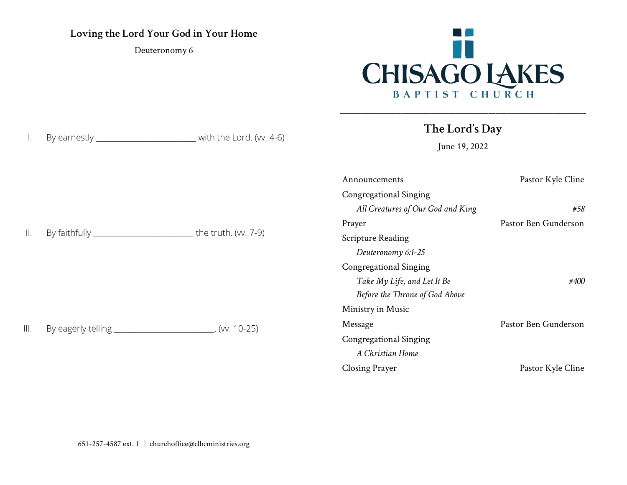## **Loving the Lord Your God in Your Home**

Deuteronomy 6

I. By earnestly \_\_\_\_\_\_\_\_\_\_\_\_\_\_\_\_\_\_\_\_\_\_\_\_\_\_\_ with the Lord. (w. 4-6)



**The Lord's Day**

\_\_\_\_\_\_\_\_\_\_\_\_\_\_\_\_\_\_\_\_\_\_\_\_\_\_\_\_\_\_\_\_\_\_\_\_\_\_\_\_\_\_\_\_\_\_\_\_\_\_\_\_\_\_\_\_\_\_\_\_\_\_\_\_\_\_\_\_

June 19, 2022

|                |                                                          |                     | Announcements                     | Pastor Kyle Cline    |
|----------------|----------------------------------------------------------|---------------------|-----------------------------------|----------------------|
|                |                                                          |                     | <b>Congregational Singing</b>     |                      |
| $\mathbb{H}$ . |                                                          | the truth. (w. 7-9) | All Creatures of Our God and King | #58                  |
|                |                                                          |                     | Prayer                            | Pastor Ben Gunderson |
|                |                                                          |                     | <b>Scripture Reading</b>          |                      |
|                |                                                          |                     | Deuteronomy 6:1-25                |                      |
|                |                                                          |                     | <b>Congregational Singing</b>     |                      |
|                |                                                          |                     | Take My Life, and Let It Be       | #400                 |
| III.           | By eagerly telling _________________________. (w. 10-25) |                     | Before the Throne of God Above    |                      |
|                |                                                          |                     | Ministry in Music                 |                      |
|                |                                                          |                     | Message                           | Pastor Ben Gunderson |
|                |                                                          |                     | <b>Congregational Singing</b>     |                      |
|                |                                                          |                     | A Christian Home                  |                      |
|                |                                                          |                     | <b>Closing Prayer</b>             | Pastor Kyle Cline    |